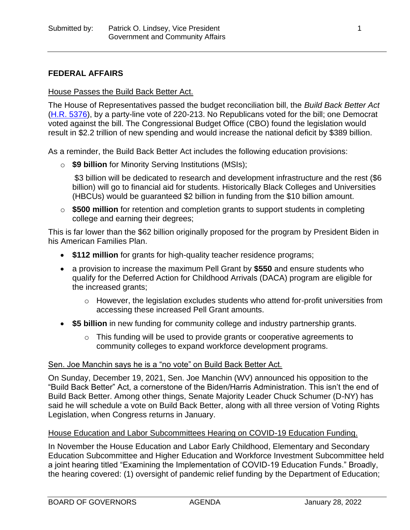## **FEDERAL AFFAIRS**

#### House Passes the Build Back Better Act.

The House of Representatives passed the budget reconciliation bill, the *Build Back Better Act* [\(H.R. 5376\)](https://www.congress.gov/bill/117th-congress/house-bill/5376), by a party-line vote of 220-213. No Republicans voted for the bill; one Democrat voted against the bill. The Congressional Budget Office (CBO) found the legislation would result in \$2.2 trillion of new spending and would increase the national deficit by \$389 billion.

As a reminder, the Build Back Better Act includes the following education provisions:

o **\$9 billion** for Minority Serving Institutions (MSIs);

\$3 billion will be dedicated to research and development infrastructure and the rest (\$6 billion) will go to financial aid for students. Historically Black Colleges and Universities (HBCUs) would be guaranteed \$2 billion in funding from the \$10 billion amount.

o **\$500 million** for retention and completion grants to support students in completing college and earning their degrees;

This is far lower than the \$62 billion originally proposed for the program by President Biden in his American Families Plan.

- **\$112 million** for grants for high-quality teacher residence programs;
- a provision to increase the maximum Pell Grant by **\$550** and ensure students who qualify for the Deferred Action for Childhood Arrivals (DACA) program are eligible for the increased grants;
	- o However, the legislation excludes students who attend for-profit universities from accessing these increased Pell Grant amounts.
- **\$5 billion** in new funding for community college and industry partnership grants.
	- o This funding will be used to provide grants or cooperative agreements to community colleges to expand workforce development programs.

## Sen. Joe Manchin says he is a "no vote" on Build Back Better Act.

On Sunday, December 19, 2021, Sen. Joe Manchin (WV) announced his opposition to the "Build Back Better" Act, a cornerstone of the Biden/Harris Administration. This isn't the end of Build Back Better. Among other things, Senate Majority Leader Chuck Schumer (D-NY) has said he will schedule a vote on Build Back Better, along with all three version of Voting Rights Legislation, when Congress returns in January.

#### House Education and Labor Subcommittees Hearing on COVID-19 Education Funding.

In November the House Education and Labor Early Childhood, Elementary and Secondary Education Subcommittee and Higher Education and Workforce Investment Subcommittee held a joint hearing titled "Examining the Implementation of COVID-19 Education Funds." Broadly, the hearing covered: (1) oversight of pandemic relief funding by the Department of Education;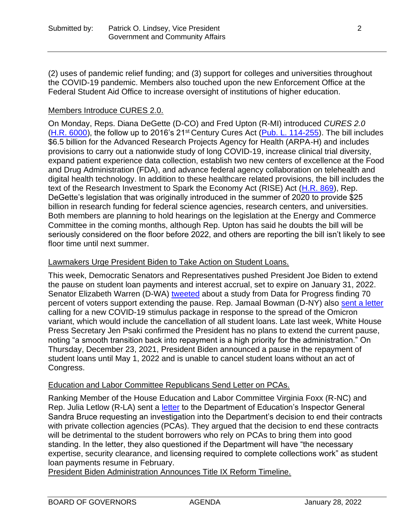(2) uses of pandemic relief funding; and (3) support for colleges and universities throughout the COVID-19 pandemic. Members also touched upon the new Enforcement Office at the Federal Student Aid Office to increase oversight of institutions of higher education.

# Members Introduce CURES 2.0.

On Monday, Reps. Diana DeGette (D-CO) and Fred Upton (R-MI) introduced *CURES 2.0* [\(H.R. 6000\)](https://www.congress.gov/bill/117th-congress/house-bill/6000?q=%7B%22search%22%3A%5B%22degette%22%2C%22degette%22%5D%7D&s=3&r=1), the follow up to 2016's 21<sup>st</sup> Century Cures Act [\(Pub. L. 114-255\)](https://www.congress.gov/bill/114th-congress/house-bill/34). The bill includes \$6.5 billion for the Advanced Research Projects Agency for Health (ARPA-H) and includes provisions to carry out a nationwide study of long COVID-19, increase clinical trial diversity, expand patient experience data collection, establish two new centers of excellence at the Food and Drug Administration (FDA), and advance federal agency collaboration on telehealth and digital health technology. In addition to these healthcare related provisions, the bill includes the text of the Research Investment to Spark the Economy Act (RISE) Act [\(H.R. 869\)](https://www.congress.gov/bill/116th-congress/house-bill/7308/), Rep. DeGette's legislation that was originally introduced in the summer of 2020 to provide \$25 billion in research funding for federal science agencies, research centers, and universities. Both members are planning to hold hearings on the legislation at the Energy and Commerce Committee in the coming months, although Rep. Upton has said he doubts the bill will be seriously considered on the floor before 2022, and others are reporting the bill isn't likely to see floor time until next summer.

# Lawmakers Urge President Biden to Take Action on Student Loans.

This week, Democratic Senators and Representatives pushed President Joe Biden to extend the pause on student loan payments and interest accrual, set to expire on January 31, 2022. Senator Elizabeth Warren (D-WA) [tweeted](https://twitter.com/SenWarren/status/1471542923418386435) about a study from Data for Progress finding 70 percent of voters support extending the pause. Rep. Jamaal Bowman (D-NY) also [sent a letter](https://twitter.com/JamaalBowmanNY/status/1471272696793243648?ref_src=twsrc%5Etfw%7Ctwcamp%5Eembeddedtimeline%7Ctwterm%5Eprofile%3AJamaalBowmanNY%7Ctwgr%5EeyJ0ZndfZXhwZXJpbWVudHNfY29va2llX2V4cGlyYXRpb24iOnsiYnVja2V0IjoxMjA5NjAwLCJ2ZXJzaW9uIjpudWxsfSwidGZ3X2hvcml6b25fdHdlZXRfZW1iZWRfOTU1NSI6eyJidWNrZXQiOiJodGUiLCJ2ZXJzaW9uIjpudWxsfSwidGZ3X3NwYWNlX2NhcmQiOnsiYnVja2V0Ijoib2ZmIiwidmVyc2lvbiI6bnVsbH19%7Ctwcon%5Etimelinechrome&ref_url=https%3A%2F%2Fwww.bowmanforcongress.com%2Fpress) calling for a new COVID-19 stimulus package in response to the spread of the Omicron variant, which would include the cancellation of all student loans. Late last week, White House Press Secretary Jen Psaki confirmed the President has no plans to extend the current pause, noting "a smooth transition back into repayment is a high priority for the administration." On Thursday, December 23, 2021, President Biden announced a pause in the repayment of student loans until May 1, 2022 and is unable to cancel student loans without an act of Congress.

## Education and Labor Committee Republicans Send Letter on PCAs.

Ranking Member of the House Education and Labor Committee Virginia Foxx (R-NC) and Rep. Julia Letlow (R-LA) sent a [letter](https://republicans-edlabor.house.gov/uploadedfiles/final_letter_to_oig_re_pcas.pdf) to the Department of Education's Inspector General Sandra Bruce requesting an investigation into the Department's decision to end their contracts with private collection agencies (PCAs). They argued that the decision to end these contracts will be detrimental to the student borrowers who rely on PCAs to bring them into good standing. In the letter, they also questioned if the Department will have "the necessary expertise, security clearance, and licensing required to complete collections work" as student loan payments resume in February.

President Biden Administration Announces Title IX Reform Timeline.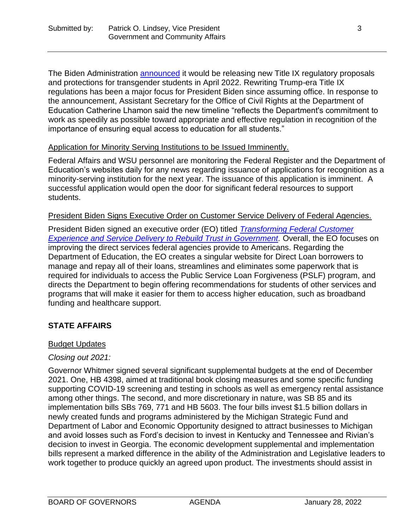The Biden Administration **announced** it would be releasing new Title IX regulatory proposals and protections for transgender students in April 2022. Rewriting Trump-era Title IX regulations has been a major focus for President Biden since assuming office. In response to the announcement, Assistant Secretary for the Office of Civil Rights at the Department of Education Catherine Lhamon said the new timeline "reflects the Department's commitment to work as speedily as possible toward appropriate and effective regulation in recognition of the importance of ensuring equal access to education for all students."

#### Application for Minority Serving Institutions to be Issued Imminently.

Federal Affairs and WSU personnel are monitoring the Federal Register and the Department of Education's websites daily for any news regarding issuance of applications for recognition as a minority-serving institution for the next year. The issuance of this application is imminent. A successful application would open the door for significant federal resources to support students.

#### President Biden Signs Executive Order on Customer Service Delivery of Federal Agencies.

President Biden signed an executive order (EO) titled *[Transforming Federal Customer](https://www.whitehouse.gov/briefing-room/presidential-actions/2021/12/13/executive-order-on-transforming-federal-customer-experience-and-service-delivery-to-rebuild-trust-in-government/)*  **[Experience and Service Delivery to Rebuild Trust in Government.](https://www.whitehouse.gov/briefing-room/presidential-actions/2021/12/13/executive-order-on-transforming-federal-customer-experience-and-service-delivery-to-rebuild-trust-in-government/)** Overall, the EO focuses on improving the direct services federal agencies provide to Americans. Regarding the Department of Education, the EO creates a singular website for Direct Loan borrowers to manage and repay all of their loans, streamlines and eliminates some paperwork that is required for individuals to access the Public Service Loan Forgiveness (PSLF) program, and directs the Department to begin offering recommendations for students of other services and programs that will make it easier for them to access higher education, such as broadband funding and healthcare support.

## **STATE AFFAIRS**

#### Budget Updates

#### *Closing out 2021:*

Governor Whitmer signed several significant supplemental budgets at the end of December 2021. One, HB 4398, aimed at traditional book closing measures and some specific funding supporting COVID-19 screening and testing in schools as well as emergency rental assistance among other things. The second, and more discretionary in nature, was SB 85 and its implementation bills SBs 769, 771 and HB 5603. The four bills invest \$1.5 billion dollars in newly created funds and programs administered by the Michigan Strategic Fund and Department of Labor and Economic Opportunity designed to attract businesses to Michigan and avoid losses such as Ford's decision to invest in Kentucky and Tennessee and Rivian's decision to invest in Georgia. The economic development supplemental and implementation bills represent a marked difference in the ability of the Administration and Legislative leaders to work together to produce quickly an agreed upon product. The investments should assist in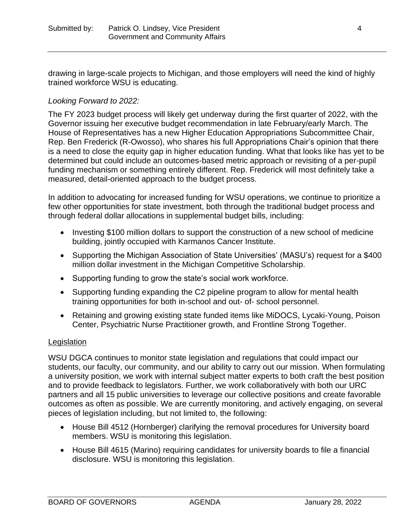drawing in large-scale projects to Michigan, and those employers will need the kind of highly trained workforce WSU is educating.

## *Looking Forward to 2022:*

The FY 2023 budget process will likely get underway during the first quarter of 2022, with the Governor issuing her executive budget recommendation in late February/early March. The House of Representatives has a new Higher Education Appropriations Subcommittee Chair, Rep. Ben Frederick (R-Owosso), who shares his full Appropriations Chair's opinion that there is a need to close the equity gap in higher education funding. What that looks like has yet to be determined but could include an outcomes-based metric approach or revisiting of a per-pupil funding mechanism or something entirely different. Rep. Frederick will most definitely take a measured, detail-oriented approach to the budget process.

In addition to advocating for increased funding for WSU operations, we continue to prioritize a few other opportunities for state investment, both through the traditional budget process and through federal dollar allocations in supplemental budget bills, including:

- Investing \$100 million dollars to support the construction of a new school of medicine building, jointly occupied with Karmanos Cancer Institute.
- Supporting the Michigan Association of State Universities' (MASU's) request for a \$400 million dollar investment in the Michigan Competitive Scholarship.
- Supporting funding to grow the state's social work workforce.
- Supporting funding expanding the C2 pipeline program to allow for mental health training opportunities for both in-school and out- of- school personnel.
- Retaining and growing existing state funded items like MiDOCS, Lycaki-Young, Poison Center, Psychiatric Nurse Practitioner growth, and Frontline Strong Together.

## **Legislation**

WSU DGCA continues to monitor state legislation and regulations that could impact our students, our faculty, our community, and our ability to carry out our mission. When formulating a university position, we work with internal subject matter experts to both craft the best position and to provide feedback to legislators. Further, we work collaboratively with both our URC partners and all 15 public universities to leverage our collective positions and create favorable outcomes as often as possible. We are currently monitoring, and actively engaging, on several pieces of legislation including, but not limited to, the following:

- House Bill 4512 (Hornberger) clarifying the removal procedures for University board members. WSU is monitoring this legislation.
- House Bill 4615 (Marino) requiring candidates for university boards to file a financial disclosure. WSU is monitoring this legislation.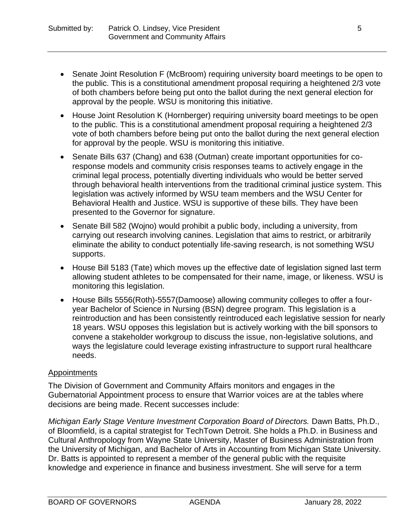- Senate Joint Resolution F (McBroom) requiring university board meetings to be open to the public. This is a constitutional amendment proposal requiring a heightened 2/3 vote of both chambers before being put onto the ballot during the next general election for approval by the people. WSU is monitoring this initiative.
- House Joint Resolution K (Hornberger) requiring university board meetings to be open to the public. This is a constitutional amendment proposal requiring a heightened 2/3 vote of both chambers before being put onto the ballot during the next general election for approval by the people. WSU is monitoring this initiative.
- Senate Bills 637 (Chang) and 638 (Outman) create important opportunities for coresponse models and community crisis responses teams to actively engage in the criminal legal process, potentially diverting individuals who would be better served through behavioral health interventions from the traditional criminal justice system. This legislation was actively informed by WSU team members and the WSU Center for Behavioral Health and Justice. WSU is supportive of these bills. They have been presented to the Governor for signature.
- Senate Bill 582 (Wojno) would prohibit a public body, including a university, from carrying out research involving canines. Legislation that aims to restrict, or arbitrarily eliminate the ability to conduct potentially life-saving research, is not something WSU supports.
- House Bill 5183 (Tate) which moves up the effective date of legislation signed last term allowing student athletes to be compensated for their name, image, or likeness. WSU is monitoring this legislation.
- House Bills 5556(Roth)-5557(Damoose) allowing community colleges to offer a fouryear Bachelor of Science in Nursing (BSN) degree program. This legislation is a reintroduction and has been consistently reintroduced each legislative session for nearly 18 years. WSU opposes this legislation but is actively working with the bill sponsors to convene a stakeholder workgroup to discuss the issue, non-legislative solutions, and ways the legislature could leverage existing infrastructure to support rural healthcare needs.

# Appointments

The Division of Government and Community Affairs monitors and engages in the Gubernatorial Appointment process to ensure that Warrior voices are at the tables where decisions are being made. Recent successes include:

*Michigan Early Stage Venture Investment Corporation Board of Directors.* Dawn Batts, Ph.D., of Bloomfield, is a capital strategist for TechTown Detroit. She holds a Ph.D. in Business and Cultural Anthropology from Wayne State University, Master of Business Administration from the University of Michigan, and Bachelor of Arts in Accounting from Michigan State University. Dr. Batts is appointed to represent a member of the general public with the requisite knowledge and experience in finance and business investment. She will serve for a term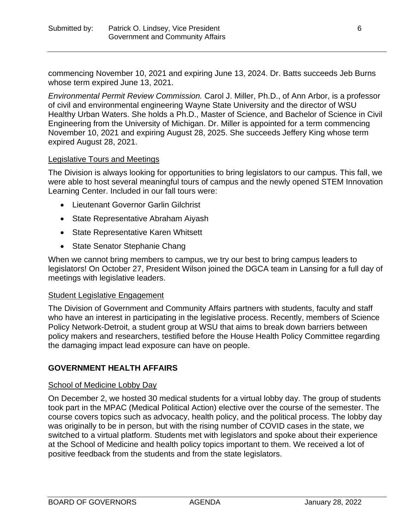commencing November 10, 2021 and expiring June 13, 2024. Dr. Batts succeeds Jeb Burns whose term expired June 13, 2021.

*Environmental Permit Review Commission.* Carol J. Miller, Ph.D., of Ann Arbor, is a professor of civil and environmental engineering Wayne State University and the director of WSU Healthy Urban Waters. She holds a Ph.D., Master of Science, and Bachelor of Science in Civil Engineering from the University of Michigan. Dr. Miller is appointed for a term commencing November 10, 2021 and expiring August 28, 2025. She succeeds Jeffery King whose term expired August 28, 2021.

## Legislative Tours and Meetings

The Division is always looking for opportunities to bring legislators to our campus. This fall, we were able to host several meaningful tours of campus and the newly opened STEM Innovation Learning Center. Included in our fall tours were:

- Lieutenant Governor Garlin Gilchrist
- State Representative Abraham Aiyash
- State Representative Karen Whitsett
- State Senator Stephanie Chang

When we cannot bring members to campus, we try our best to bring campus leaders to legislators! On October 27, President Wilson joined the DGCA team in Lansing for a full day of meetings with legislative leaders.

## Student Legislative Engagement

The Division of Government and Community Affairs partners with students, faculty and staff who have an interest in participating in the legislative process. Recently, members of Science Policy Network-Detroit, a student group at WSU that aims to break down barriers between policy makers and researchers, testified before the House Health Policy Committee regarding the damaging impact lead exposure can have on people.

## **GOVERNMENT HEALTH AFFAIRS**

## School of Medicine Lobby Day

On December 2, we hosted 30 medical students for a virtual lobby day. The group of students took part in the MPAC (Medical Political Action) elective over the course of the semester. The course covers topics such as advocacy, health policy, and the political process. The lobby day was originally to be in person, but with the rising number of COVID cases in the state, we switched to a virtual platform. Students met with legislators and spoke about their experience at the School of Medicine and health policy topics important to them. We received a lot of positive feedback from the students and from the state legislators.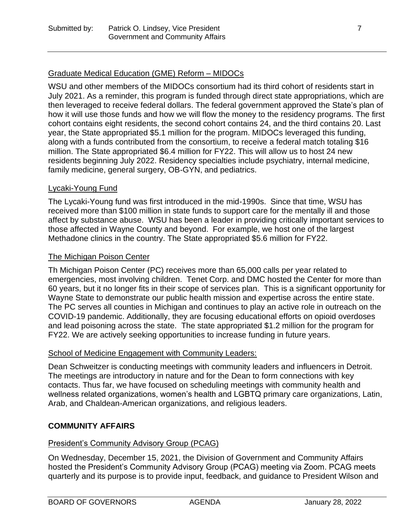# Graduate Medical Education (GME) Reform – MIDOCs

WSU and other members of the MIDOCs consortium had its third cohort of residents start in July 2021. As a reminder, this program is funded through direct state appropriations, which are then leveraged to receive federal dollars. The federal government approved the State's plan of how it will use those funds and how we will flow the money to the residency programs. The first cohort contains eight residents, the second cohort contains 24, and the third contains 20. Last year, the State appropriated \$5.1 million for the program. MIDOCs leveraged this funding, along with a funds contributed from the consortium, to receive a federal match totaling \$16 million. The State appropriated \$6.4 million for FY22. This will allow us to host 24 new residents beginning July 2022. Residency specialties include psychiatry, internal medicine, family medicine, general surgery, OB-GYN, and pediatrics.

### Lycaki-Young Fund

The Lycaki-Young fund was first introduced in the mid-1990s. Since that time, WSU has received more than \$100 million in state funds to support care for the mentally ill and those affect by substance abuse. WSU has been a leader in providing critically important services to those affected in Wayne County and beyond. For example, we host one of the largest Methadone clinics in the country. The State appropriated \$5.6 million for FY22.

### The Michigan Poison Center

Th Michigan Poison Center (PC) receives more than 65,000 calls per year related to emergencies, most involving children. Tenet Corp. and DMC hosted the Center for more than 60 years, but it no longer fits in their scope of services plan. This is a significant opportunity for Wayne State to demonstrate our public health mission and expertise across the entire state. The PC serves all counties in Michigan and continues to play an active role in outreach on the COVID-19 pandemic. Additionally, they are focusing educational efforts on opioid overdoses and lead poisoning across the state. The state appropriated \$1.2 million for the program for FY22. We are actively seeking opportunities to increase funding in future years.

#### School of Medicine Engagement with Community Leaders:

Dean Schweitzer is conducting meetings with community leaders and influencers in Detroit. The meetings are introductory in nature and for the Dean to form connections with key contacts. Thus far, we have focused on scheduling meetings with community health and wellness related organizations, women's health and LGBTQ primary care organizations, Latin, Arab, and Chaldean-American organizations, and religious leaders.

## **COMMUNITY AFFAIRS**

#### President's Community Advisory Group (PCAG)

On Wednesday, December 15, 2021, the Division of Government and Community Affairs hosted the President's Community Advisory Group (PCAG) meeting via Zoom. PCAG meets quarterly and its purpose is to provide input, feedback, and guidance to President Wilson and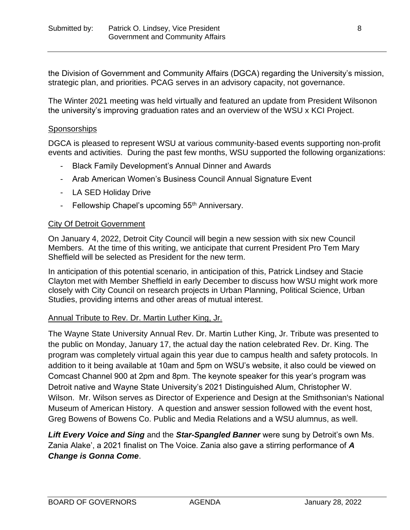the Division of Government and Community Affairs (DGCA) regarding the University's mission, strategic plan, and priorities. PCAG serves in an advisory capacity, not governance.

The Winter 2021 meeting was held virtually and featured an update from President Wilsonon the university's improving graduation rates and an overview of the WSU x KCI Project.

#### **Sponsorships**

DGCA is pleased to represent WSU at various community-based events supporting non-profit events and activities. During the past few months, WSU supported the following organizations:

- Black Family Development's Annual Dinner and Awards
- Arab American Women's Business Council Annual Signature Event
- LA SED Holiday Drive
- Fellowship Chapel's upcoming 55<sup>th</sup> Anniversary.

#### City Of Detroit Government

On January 4, 2022, Detroit City Council will begin a new session with six new Council Members. At the time of this writing, we anticipate that current President Pro Tem Mary Sheffield will be selected as President for the new term.

In anticipation of this potential scenario, in anticipation of this, Patrick Lindsey and Stacie Clayton met with Member Sheffield in early December to discuss how WSU might work more closely with City Council on research projects in Urban Planning, Political Science, Urban Studies, providing interns and other areas of mutual interest.

#### Annual Tribute to Rev. Dr. Martin Luther King, Jr.

The Wayne State University Annual Rev. Dr. Martin Luther King, Jr. Tribute was presented to the public on Monday, January 17, the actual day the nation celebrated Rev. Dr. King. The program was completely virtual again this year due to campus health and safety protocols. In addition to it being available at 10am and 5pm on WSU's website, it also could be viewed on Comcast Channel 900 at 2pm and 8pm. The keynote speaker for this year's program was Detroit native and Wayne State University's 2021 Distinguished Alum, Christopher W. Wilson. Mr. Wilson serves as Director of Experience and Design at the Smithsonian's National Museum of American History. A question and answer session followed with the event host, Greg Bowens of Bowens Co. Public and Media Relations and a WSU alumnus, as well.

*Lift Every Voice and Sing* and the *Star-Spangled Banner* were sung by Detroit's own Ms. Zania Alake', a 2021 finalist on The Voice. Zania also gave a stirring performance of *A Change is Gonna Come*.